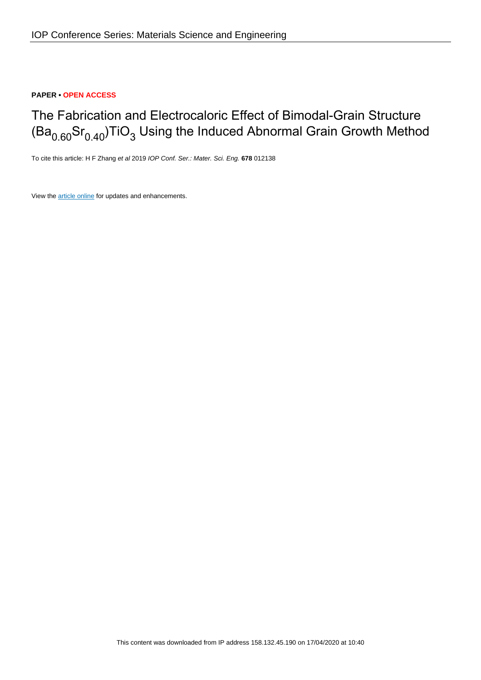### **PAPER • OPEN ACCESS**

# The Fabrication and Electrocaloric Effect of Bimodal-Grain Structure (Ba $_{0.60}\mathrm{Sr}_{0.40}$ )TiO $_3$  Using the Induced Abnormal Grain Growth Method

To cite this article: H F Zhang et al 2019 IOP Conf. Ser.: Mater. Sci. Eng. **678** 012138

View the [article online](https://doi.org/10.1088/1757-899X/678/1/012138) for updates and enhancements.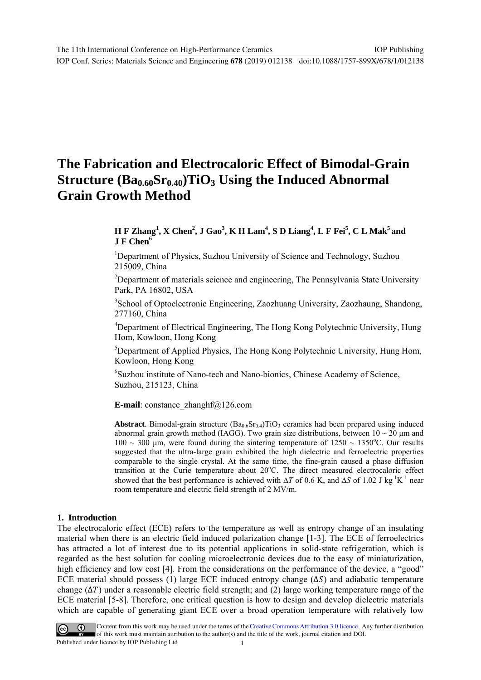## **The Fabrication and Electrocaloric Effect of Bimodal-Grain Structure (Ba<sub>0.60</sub>Sr<sub>0.40</sub>)TiO<sub>3</sub> Using the Induced Abnormal Grain Growth Method**

## **H F Zhang<sup>1</sup>, X Chen<sup>2</sup>, J Gao<sup>3</sup>, K H Lam<sup>4</sup>, S D Liang<sup>4</sup>, L F Fei<sup>5</sup>, C L Mak<sup>5</sup> and J F Chen<sup>6</sup>**

<sup>1</sup>Department of Physics, Suzhou University of Science and Technology, Suzhou 215009, China

<sup>2</sup>Department of materials science and engineering, The Pennsylvania State University Park, PA 16802, USA

3 School of Optoelectronic Engineering, Zaozhuang University, Zaozhaung, Shandong, 277160, China

<sup>4</sup>Department of Electrical Engineering, The Hong Kong Polytechnic University, Hung Hom, Kowloon, Hong Kong

<sup>5</sup>Department of Applied Physics, The Hong Kong Polytechnic University, Hung Hom, Kowloon, Hong Kong

6 Suzhou institute of Nano-tech and Nano-bionics, Chinese Academy of Science, Suzhou, 215123, China

**E-mail**: constance\_zhanghf@126.com

**Abstract**. Bimodal-grain structure  $(Ba_{0.6}Sr_{0.4})TiO_3$  ceramics had been prepared using induced abnormal grain growth method (IAGG). Two grain size distributions, between  $10 \sim 20 \mu m$  and  $100 \sim 300$  μm, were found during the sintering temperature of  $1250 \sim 1350$ °C. Our results suggested that the ultra-large grain exhibited the high dielectric and ferroelectric properties comparable to the single crystal. At the same time, the fine-grain caused a phase diffusion transition at the Curie temperature about 20°C. The direct measured electrocaloric effect showed that the best performance is achieved with  $\Delta T$  of 0.6 K, and  $\Delta S$  of 1.02 J kg<sup>-1</sup>K<sup>-1</sup> near room temperature and electric field strength of 2 MV/m.

#### **1. Introduction**

The electrocaloric effect (ECE) refers to the temperature as well as entropy change of an insulating material when there is an electric field induced polarization change [1-3]. The ECE of ferroelectrics has attracted a lot of interest due to its potential applications in solid-state refrigeration, which is regarded as the best solution for cooling microelectronic devices due to the easy of miniaturization, high efficiency and low cost [4]. From the considerations on the performance of the device, a "good" ECE material should possess (1) large ECE induced entropy change  $(\Delta S)$  and adiabatic temperature change  $(\Delta T)$  under a reasonable electric field strength; and (2) large working temperature range of the ECE material [5-8]. Therefore, one critical question is how to design and develop dielectric materials which are capable of generating giant ECE over a broad operation temperature with relatively low



Content from this work may be used under the terms of the Creative Commons Attribution 3.0 licence. Any further distribution of this work must maintain attribution to the author(s) and the title of the work, journal citation and DOI. Published under licence by IOP Publishing Ltd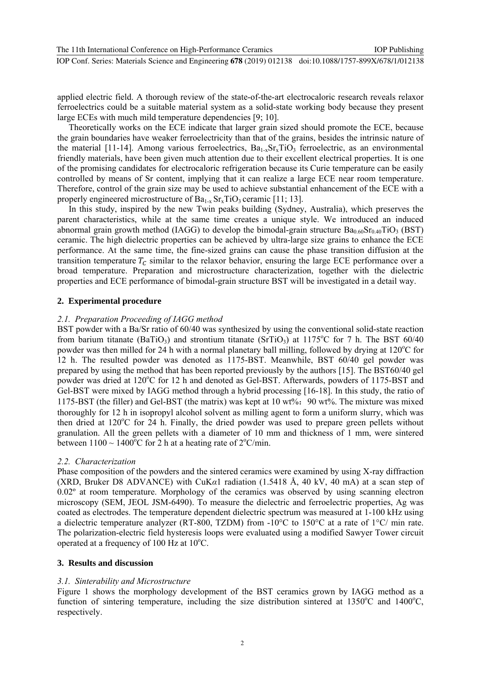applied electric field. A thorough review of the state-of-the-art electrocaloric research reveals relaxor ferroelectrics could be a suitable material system as a solid-state working body because they present large ECEs with much mild temperature dependencies [9; 10].

Theoretically works on the ECE indicate that larger grain sized should promote the ECE, because the grain boundaries have weaker ferroelectricity than that of the grains, besides the intrinsic nature of the material [11-14]. Among various ferroelectrics,  $Ba_{1-x}Sr_xTiO_3$  ferroelectric, as an environmental friendly materials, have been given much attention due to their excellent electrical properties. It is one of the promising candidates for electrocaloric refrigeration because its Curie temperature can be easily controlled by means of Sr content, implying that it can realize a large ECE near room temperature. Therefore, control of the grain size may be used to achieve substantial enhancement of the ECE with a properly engineered microstructure of  $Ba_{1-x}Sr_xTiO_3$  ceramic [11; 13].

In this study, inspired by the new Twin peaks building (Sydney, Australia), which preserves the parent characteristics, while at the same time creates a unique style. We introduced an induced abnormal grain growth method (IAGG) to develop the bimodal-grain structure  $Ba_{0.60}Sr_{0.40}TiO_3$  (BST) ceramic. The high dielectric properties can be achieved by ultra-large size grains to enhance the ECE performance. At the same time, the fine-sized grains can cause the phase transition diffusion at the transition temperature  $T_c$  similar to the relaxor behavior, ensuring the large ECE performance over a broad temperature. Preparation and microstructure characterization, together with the dielectric properties and ECE performance of bimodal-grain structure BST will be investigated in a detail way.

#### **2. Experimental procedure**

#### *2.1. Preparation Proceeding of IAGG method*

BST powder with a Ba/Sr ratio of 60/40 was synthesized by using the conventional solid-state reaction from barium titanate (BaTiO<sub>3</sub>) and strontium titanate (SrTiO<sub>3</sub>) at 1175°C for 7 h. The BST 60/40 powder was then milled for 24 h with a normal planetary ball milling, followed by drying at 120°C for 12 h. The resulted powder was denoted as 1175-BST. Meanwhile, BST 60/40 gel powder was prepared by using the method that has been reported previously by the authors [15]. The BST60/40 gel powder was dried at 120°C for 12 h and denoted as Gel-BST. Afterwards, powders of 1175-BST and Gel-BST were mixed by IAGG method through a hybrid processing [16-18]. In this study, the ratio of 1175-BST (the filler) and Gel-BST (the matrix) was kept at 10 wt%:90 wt%. The mixture was mixed thoroughly for 12 h in isopropyl alcohol solvent as milling agent to form a uniform slurry, which was then dried at  $120^{\circ}$ C for  $24$  h. Finally, the dried powder was used to prepare green pellets without granulation. All the green pellets with a diameter of 10 mm and thickness of 1 mm, were sintered between  $1100 \sim 1400^{\circ}$ C for 2 h at a heating rate of  $2^{\circ}$ C/min.

#### *2.2. Characterization*

Phase composition of the powders and the sintered ceramics were examined by using X-ray diffraction (XRD, Bruker D8 ADVANCE) with CuK*α*1 radiation (1.5418 Å, 40 kV, 40 mA) at a scan step of 0.02º at room temperature. Morphology of the ceramics was observed by using scanning electron microscopy (SEM, JEOL JSM-6490). To measure the dielectric and ferroelectric properties, Ag was coated as electrodes. The temperature dependent dielectric spectrum was measured at 1-100 kHz using a dielectric temperature analyzer (RT-800, TZDM) from -10°C to 150°C at a rate of 1°C/ min rate. The polarization-electric field hysteresis loops were evaluated using a modified Sawyer Tower circuit operated at a frequency of 100 Hz at 10°C.

#### **3. Results and discussion**

#### *3.1. Sinterability and Microstructure*

Figure 1 shows the morphology development of the BST ceramics grown by IAGG method as a function of sintering temperature, including the size distribution sintered at 1350°C and 1400°C, respectively.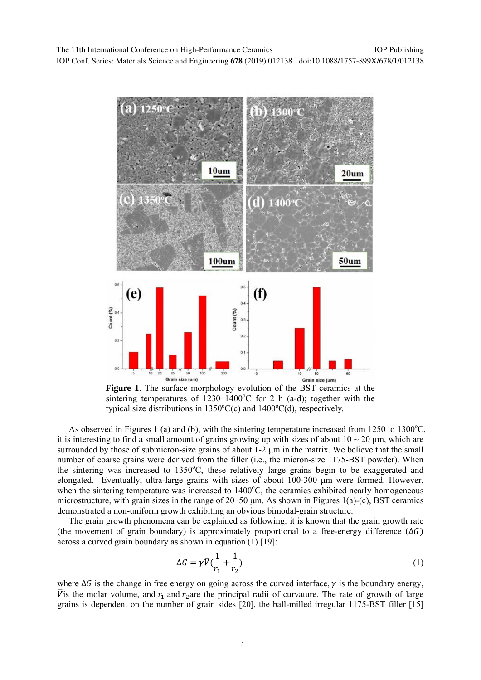

**Figure 1**. The surface morphology evolution of the BST ceramics at the sintering temperatures of  $1230-1400^{\circ}$ C for 2 h (a-d); together with the typical size distributions in  $1350^{\circ}C(c)$  and  $1400^{\circ}C(d)$ , respectively.

As observed in Figures 1 (a) and (b), with the sintering temperature increased from  $1250$  to  $1300^{\circ}$ C, it is interesting to find a small amount of grains growing up with sizes of about  $10 \sim 20$  um, which are surrounded by those of submicron-size grains of about 1-2 μm in the matrix. We believe that the small number of coarse grains were derived from the filler (i.e., the micron-size 1175-BST powder). When the sintering was increased to 1350°C, these relatively large grains begin to be exaggerated and elongated. Eventually, ultra-large grains with sizes of about 100-300 μm were formed. However, when the sintering temperature was increased to 1400°C, the ceramics exhibited nearly homogeneous microstructure, with grain sizes in the range of  $20-50 \mu m$ . As shown in Figures 1(a)-(c), BST ceramics demonstrated a non-uniform growth exhibiting an obvious bimodal-grain structure.

The grain growth phenomena can be explained as following: it is known that the grain growth rate (the movement of grain boundary) is approximately proportional to a free-energy difference  $(\Delta G)$ across a curved grain boundary as shown in equation (1) [19]:

$$
\Delta G = \gamma \bar{V} \left( \frac{1}{r_1} + \frac{1}{r_2} \right) \tag{1}
$$

where  $\Delta G$  is the change in free energy on going across the curved interface,  $\gamma$  is the boundary energy,  $\bar{V}$  is the molar volume, and  $r_1$  and  $r_2$ are the principal radii of curvature. The rate of growth of large grains is dependent on the number of grain sides [20], the ball-milled irregular 1175-BST filler [15]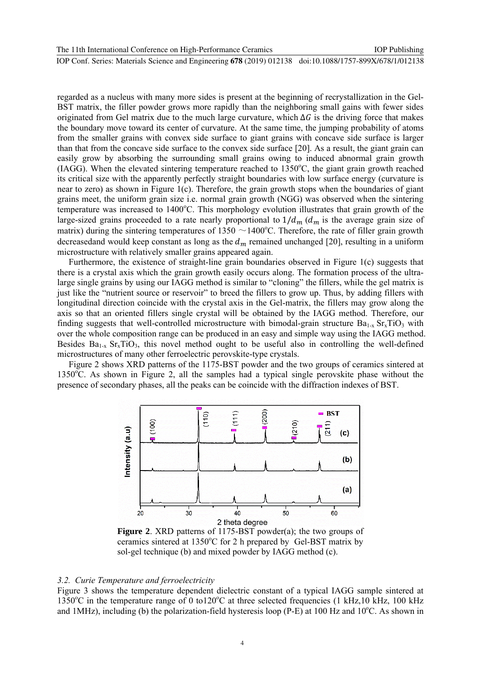regarded as a nucleus with many more sides is present at the beginning of recrystallization in the Gel-BST matrix, the filler powder grows more rapidly than the neighboring small gains with fewer sides originated from Gel matrix due to the much large curvature, which  $\Delta G$  is the driving force that makes the boundary move toward its center of curvature. At the same time, the jumping probability of atoms from the smaller grains with convex side surface to giant grains with concave side surface is larger than that from the concave side surface to the convex side surface [20]. As a result, the giant grain can easily grow by absorbing the surrounding small grains owing to induced abnormal grain growth (IAGG). When the elevated sintering temperature reached to 1350°C, the giant grain growth reached its critical size with the apparently perfectly straight boundaries with low surface energy (curvature is near to zero) as shown in Figure 1(c). Therefore, the grain growth stops when the boundaries of giant grains meet, the uniform grain size i.e. normal grain growth (NGG) was observed when the sintering temperature was increased to 1400°C. This morphology evolution illustrates that grain growth of the large-sized grains proceeded to a rate nearly proportional to  $1/d_m (d_m)$  is the average grain size of matrix) during the sintering temperatures of  $1350 \sim 1400^{\circ}$ C. Therefore, the rate of filler grain growth decreasedand would keep constant as long as the  $d_m$  remained unchanged [20], resulting in a uniform microstructure with relatively smaller grains appeared again.

Furthermore, the existence of straight-line grain boundaries observed in Figure 1(c) suggests that there is a crystal axis which the grain growth easily occurs along. The formation process of the ultralarge single grains by using our IAGG method is similar to "cloning" the fillers, while the gel matrix is just like the "nutrient source or reservoir" to breed the fillers to grow up. Thus, by adding fillers with longitudinal direction coincide with the crystal axis in the Gel-matrix, the fillers may grow along the axis so that an oriented fillers single crystal will be obtained by the IAGG method. Therefore, our finding suggests that well-controlled microstructure with bimodal-grain structure  $Ba_{1-x}$   $Sr_xTiO_3$  with over the whole composition range can be produced in an easy and simple way using the IAGG method. Besides  $Ba_{1-x}$  Sr<sub>x</sub>TiO<sub>3</sub>, this novel method ought to be useful also in controlling the well-defined microstructures of many other ferroelectric perovskite-type crystals.

Figure 2 shows XRD patterns of the 1175-BST powder and the two groups of ceramics sintered at 1350°C. As shown in Figure 2, all the samples had a typical single perovskite phase without the presence of secondary phases, all the peaks can be coincide with the diffraction indexes of BST.



**Figure 2**. XRD patterns of 1175-BST powder(a); the two groups of ceramics sintered at 1350°C for 2 h prepared by Gel-BST matrix by sol-gel technique (b) and mixed powder by IAGG method (c).

#### *3.2. Curie Temperature and ferroelectricity*

Figure 3 shows the temperature dependent dielectric constant of a typical IAGG sample sintered at 1350°C in the temperature range of 0 to120°C at three selected frequencies (1 kHz,10 kHz, 100 kHz and 1MHz), including (b) the polarization-field hysteresis loop (P-E) at 100 Hz and  $10^{\circ}$ C. As shown in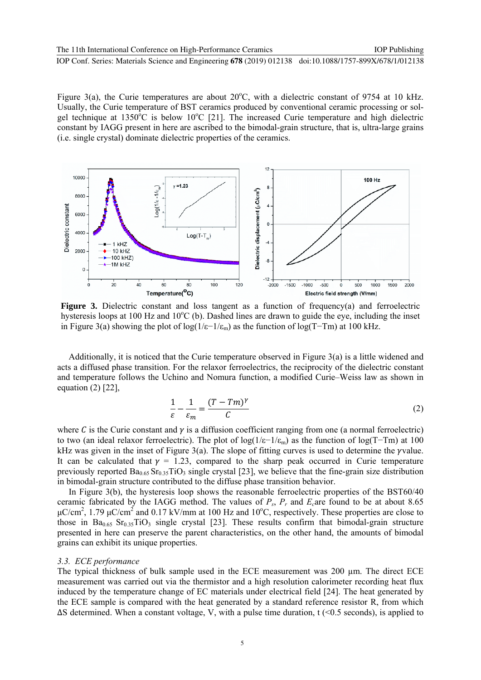Figure 3(a), the Curie temperatures are about  $20^{\circ}$ C, with a dielectric constant of 9754 at 10 kHz. Usually, the Curie temperature of BST ceramics produced by conventional ceramic processing or solgel technique at  $1350^{\circ}$ C is below  $10^{\circ}$ C [21]. The increased Curie temperature and high dielectric constant by IAGG present in here are ascribed to the bimodal-grain structure, that is, ultra-large grains (i.e. single crystal) dominate dielectric properties of the ceramics.



**Figure 3.** Dielectric constant and loss tangent as a function of frequency(a) and ferroelectric hysteresis loops at 100 Hz and 10<sup>o</sup>C (b). Dashed lines are drawn to guide the eye, including the inset in Figure 3(a) showing the plot of log(1/ε−1/ε<sub>m</sub>) as the function of log(T–Tm) at 100 kHz.

Additionally, it is noticed that the Curie temperature observed in Figure 3(a) is a little widened and acts a diffused phase transition. For the relaxor ferroelectrics, the reciprocity of the dielectric constant and temperature follows the Uchino and Nomura function, a modified Curie–Weiss law as shown in equation (2) [22],

$$
\frac{1}{\varepsilon} - \frac{1}{\varepsilon_m} = \frac{(T - Tm)^{\gamma}}{C}
$$
 (2)

where C is the Curie constant and  $\gamma$  is a diffusion coefficient ranging from one (a normal ferroelectric) to two (an ideal relaxor ferroelectric). The plot of log(1/ε−1/ε<sub>m</sub>) as the function of log(T-Tm) at 100 kHz was given in the inset of Figure  $3(a)$ . The slope of fitting curves is used to determine the *yvalue*. It can be calculated that  $\gamma = 1.23$ , compared to the sharp peak occurred in Curie temperature previously reported  $Ba<sub>0.65</sub>Sr<sub>0.35</sub>TiO<sub>3</sub>$  single crystal [23], we believe that the fine-grain size distribution in bimodal-grain structure contributed to the diffuse phase transition behavior.

In Figure 3(b), the hysteresis loop shows the reasonable ferroelectric properties of the BST60/40 ceramic fabricated by the IAGG method. The values of  $P_s$ ,  $P_r$  and  $E_c$  are found to be at about 8.65  $\mu$ C/cm<sup>2</sup>, 1.79  $\mu$ C/cm<sup>2</sup> and 0.17 kV/mm at 100 Hz and 10<sup>o</sup>C, respectively. These properties are close to those in  $Ba<sub>0.65</sub> Sr<sub>0.35</sub> TiO<sub>3</sub> single crystal [23].$  These results confirm that bimodal-grain structure presented in here can preserve the parent characteristics, on the other hand, the amounts of bimodal grains can exhibit its unique properties.

#### *3.3. ECE performance*

The typical thickness of bulk sample used in the ECE measurement was 200 µm. The direct ECE measurement was carried out via the thermistor and a high resolution calorimeter recording heat flux induced by the temperature change of EC materials under electrical field [24]. The heat generated by the ECE sample is compared with the heat generated by a standard reference resistor R, from which ∆S determined. When a constant voltage, V, with a pulse time duration, t (<0.5 seconds), is applied to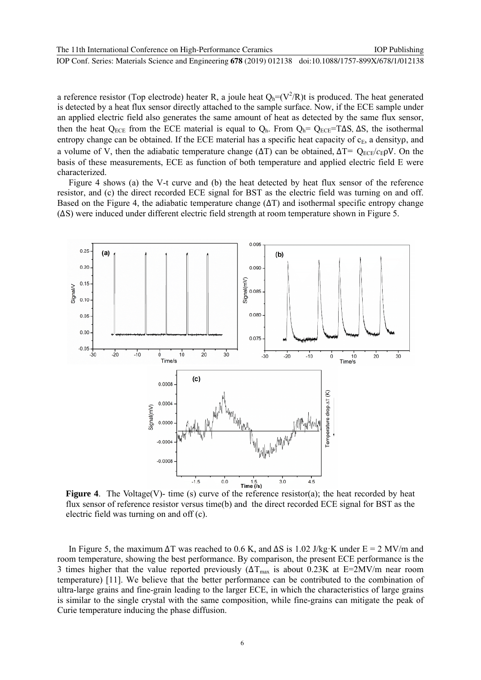a reference resistor (Top electrode) heater R, a joule heat  $Q_h = (V^2/R)t$  is produced. The heat generated is detected by a heat flux sensor directly attached to the sample surface. Now, if the ECE sample under an applied electric field also generates the same amount of heat as detected by the same flux sensor, then the heat Q<sub>ECE</sub> from the ECE material is equal to Q<sub>h</sub>. From Q<sub>h</sub>= Q<sub>ECE</sub>=T∆S, ∆S, the isothermal entropy change can be obtained. If the ECE material has a specific heat capacity of  $c_E$ , a densityp, and a volume of V, then the adiabatic temperature change ( $\Delta T$ ) can be obtained,  $\Delta T = Q_{ECE}/c_{E}\rho V$ . On the basis of these measurements, ECE as function of both temperature and applied electric field E were characterized.

Figure 4 shows (a) the V-t curve and (b) the heat detected by heat flux sensor of the reference resistor, and (c) the direct recorded ECE signal for BST as the electric field was turning on and off. Based on the Figure 4, the adiabatic temperature change  $(\Delta T)$  and isothermal specific entropy change (∆S) were induced under different electric field strength at room temperature shown in Figure 5.



**Figure 4.** The Voltage(V)- time (s) curve of the reference resistor(a); the heat recorded by heat flux sensor of reference resistor versus time(b) and the direct recorded ECE signal for BST as the electric field was turning on and off (c).

In Figure 5, the maximum  $\Delta T$  was reached to 0.6 K, and  $\Delta S$  is 1.02 J/kg·K under E = 2 MV/m and room temperature, showing the best performance. By comparison, the present ECE performance is the 3 times higher that the value reported previously ( $\Delta T_{\text{max}}$  is about 0.23K at E=2MV/m near room temperature) [11]. We believe that the better performance can be contributed to the combination of ultra-large grains and fine-grain leading to the larger ECE, in which the characteristics of large grains is similar to the single crystal with the same composition, while fine-grains can mitigate the peak of Curie temperature inducing the phase diffusion.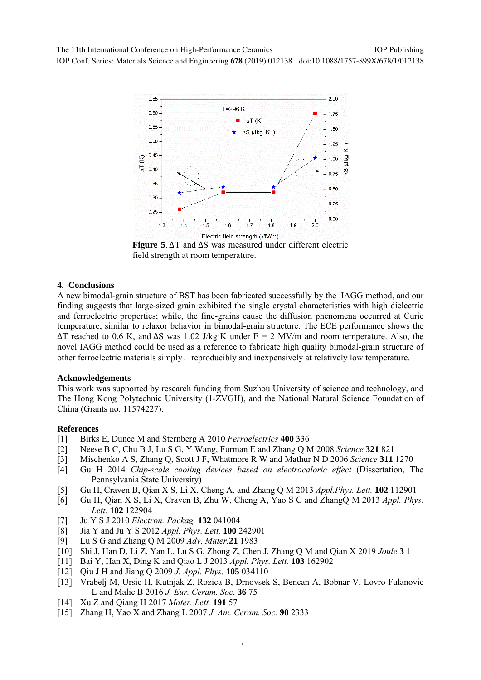

**Figure 5**. ∆T and ∆S was measured under different electric field strength at room temperature.

#### **4. Conclusions**

A new bimodal-grain structure of BST has been fabricated successfully by the IAGG method, and our finding suggests that large-sized grain exhibited the single crystal characteristics with high dielectric and ferroelectric properties; while, the fine-grains cause the diffusion phenomena occurred at Curie temperature, similar to relaxor behavior in bimodal-grain structure. The ECE performance shows the  $\Delta T$  reached to 0.6 K, and  $\Delta S$  was 1.02 J/kg·K under E = 2 MV/m and room temperature. Also, the novel IAGG method could be used as a reference to fabricate high quality bimodal-grain structure of other ferroelectric materials simply、reproducibly and inexpensively at relatively low temperature.

#### **Acknowledgements**

This work was supported by research funding from Suzhou University of science and technology, and The Hong Kong Polytechnic University (1-ZVGH), and the National Natural Science Foundation of China (Grants no. 11574227).

#### **References**

- [1] Birks E, Dunce M and Sternberg A 2010 *Ferroelectrics* **400** 336
- [2] Neese B C, Chu B J, Lu S G, Y Wang, Furman E and Zhang Q M 2008 *Science* **321** 821
- [3] Mischenko A S, Zhang Q, Scott J F, Whatmore R W and Mathur N D 2006 *Science* **311** 1270
- [4] Gu H 2014 *Chip-scale cooling devices based on electrocaloric effect* (Dissertation, The Pennsylvania State University)
- [5] Gu H, Craven B, Qian X S, Li X, Cheng A, and Zhang Q M 2013 *Appl.Phys. Lett.* **102** 112901
- [6] Gu H, Qian X S, Li X, Craven B, Zhu W, Cheng A, Yao S C and ZhangQ M 2013 *Appl. Phys. Lett.* **102** 122904
- [7] Ju Y S J 2010 *Electron. Packag.* **132** 041004
- [8] Jia Y and Ju Y S 2012 *Appl. Phys. Lett.* **100** 242901
- [9] Lu S G and Zhang Q M 2009 *Adv. Mater.***21** 1983
- [10] Shi J, Han D, Li Z, Yan L, Lu S G, Zhong Z, Chen J, Zhang Q M and Qian X 2019 *Joule* **3** 1
- [11] Bai Y, Han X, Ding K and Qiao L J 2013 *Appl. Phys. Lett.* **103** 162902
- [12] Qiu J H and Jiang Q 2009 *J. Appl. Phys.* **105** 034110
- [13] Vrabelj M, Ursic H, Kutnjak Z, Rozica B, Drnovsek S, Bencan A, Bobnar V, Lovro Fulanovic L and Malic B 2016 *J. Eur. Ceram. Soc.* **36** 75
- [14] Xu Z and Qiang H 2017 *Mater. Lett.* **191** 57
- [15] Zhang H, Yao X and Zhang L 2007 *J. Am. Ceram. Soc.* **90** 2333